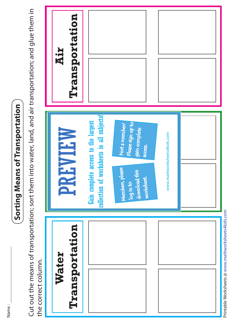Name :

## **Sorting Means of Transportation**  Sorting Means of Transportation

Cut out the means of transportation; sort them into water, land, and air transportation; and glue them in Cut out the means of transportation; sort them into water, land, and air transportation; and glue them in the correct column. the correct column.



Printable Worksheets @ www.mathworksheets4kids.com Printable Worksheets @ www.mathworksheets4kids.com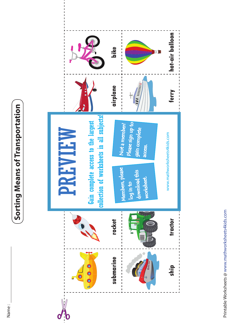## **Sorting Means of Transportation**  Sorting Means of Transportation